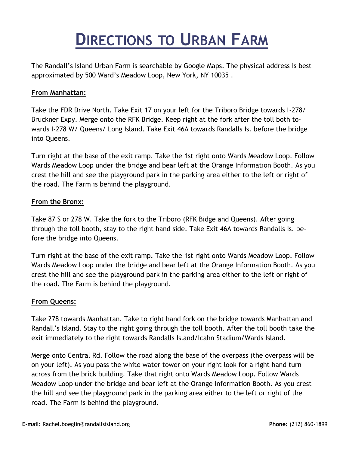## **DIRECTIONS TO URBAN FARM**

The Randall's Island Urban Farm is searchable by Google Maps. The physical address is best approximated by 500 Ward's Meadow Loop, New York, NY 10035 .

## **From Manhattan:**

Take the FDR Drive North. Take Exit 17 on your left for the Triboro Bridge towards I-278/ Bruckner Expy. Merge onto the RFK Bridge. Keep right at the fork after the toll both towards I-278 W/ Queens/ Long Island. Take Exit 46A towards Randalls Is. before the bridge into Queens.

Turn right at the base of the exit ramp. Take the 1st right onto Wards Meadow Loop. Follow Wards Meadow Loop under the bridge and bear left at the Orange Information Booth. As you crest the hill and see the playground park in the parking area either to the left or right of the road. The Farm is behind the playground.

## **From the Bronx:**

Take 87 S or 278 W. Take the fork to the Triboro (RFK Bidge and Queens). After going through the toll booth, stay to the right hand side. Take Exit 46A towards Randalls Is. before the bridge into Queens.

Turn right at the base of the exit ramp. Take the 1st right onto Wards Meadow Loop. Follow Wards Meadow Loop under the bridge and bear left at the Orange Information Booth. As you crest the hill and see the playground park in the parking area either to the left or right of the road. The Farm is behind the playground.

## **From Queens:**

Take 278 towards Manhattan. Take to right hand fork on the bridge towards Manhattan and Randall's Island. Stay to the right going through the toll booth. After the toll booth take the exit immediately to the right towards Randalls Island/Icahn Stadium/Wards Island.

Merge onto Central Rd. Follow the road along the base of the overpass (the overpass will be on your left). As you pass the white water tower on your right look for a right hand turn across from the brick building. Take that right onto Wards Meadow Loop. Follow Wards Meadow Loop under the bridge and bear left at the Orange Information Booth. As you crest the hill and see the playground park in the parking area either to the left or right of the road. The Farm is behind the playground.